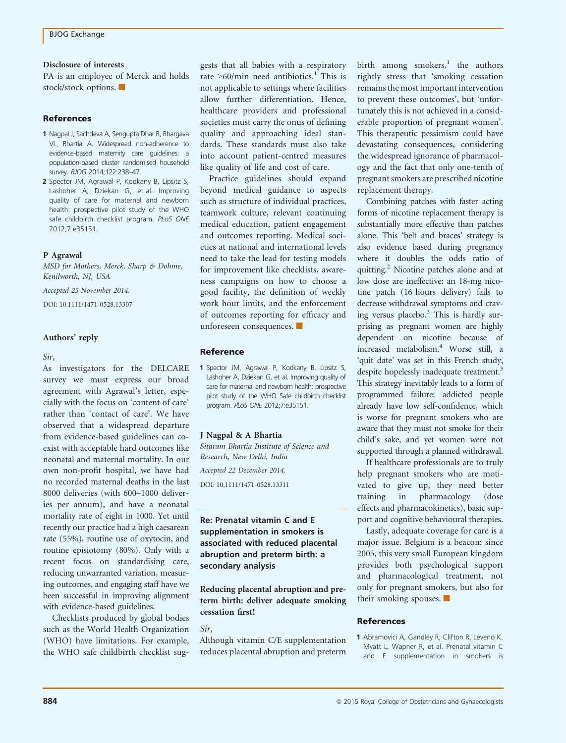#### Disclosure of interests

PA is an employee of Merck and holds stock/stock options.

## References

- 1 Nagpal J, Sachdeva A, Sengupta Dhar R, Bhargava VL, Bhartia A. Widespread non-adherence to evidence-based maternity care guidelines: a population-based cluster randomised household survey. BJOG 2014;122:238–47.
- 2 Spector JM, Agrawal P, Kodkany B, Lipsitz S, Lashoher A, Dziekan G, et al. Improving quality of care for maternal and newborn health: prospective pilot study of the WHO safe childbirth checklist program. PLoS ONE 2012;7:e35151.

#### P Agrawal

MSD for Mothers, Merck, Sharp & Dohme, Kenilworth, NJ, USA

Accepted 25 November 2014.

DOI: 10.1111/1471-0528.13307

## Authors' reply

#### Sir,

As investigators for the DELCARE survey we must express our broad agreement with Agrawal's letter, especially with the focus on 'content of care' rather than 'contact of care'. We have observed that a widespread departure from evidence-based guidelines can coexist with acceptable hard outcomes like neonatal and maternal mortality. In our own non-profit hospital, we have had no recorded maternal deaths in the last 8000 deliveries (with 600–1000 deliveries per annum), and have a neonatal mortality rate of eight in 1000. Yet until recently our practice had a high caesarean rate (55%), routine use of oxytocin, and routine episiotomy (80%). Only with a recent focus on standardising care, reducing unwarranted variation, measuring outcomes, and engaging staff have we been successful in improving alignment with evidence-based guidelines.

Checklists produced by global bodies such as the World Health Organization (WHO) have limitations. For example, the WHO safe childbirth checklist suggests that all babies with a respiratory rate  $>60/\text{min}$  need antibiotics.<sup>1</sup> This is not applicable to settings where facilities allow further differentiation. Hence, healthcare providers and professional societies must carry the onus of defining quality and approaching ideal standards. These standards must also take into account patient-centred measures like quality of life and cost of care.

Practice guidelines should expand beyond medical guidance to aspects such as structure of individual practices, teamwork culture, relevant continuing medical education, patient engagement and outcomes reporting. Medical societies at national and international levels need to take the lead for testing models for improvement like checklists, awareness campaigns on how to choose a good facility, the definition of weekly work hour limits, and the enforcement of outcomes reporting for efficacy and unforeseen consequences.  $\blacksquare$ 

### Reference

1 Spector JM, Agrawal P, Kodkany B, Lipsitz S, Lashoher A, Dziekan G, et al. Improving quality of care for maternal and newborn health: prospective pilot study of the WHO Safe childbirth checklist program. PLoS ONE 2012;7:e35151.

### J Nagpal & A Bhartia

Sitaram Bhartia Institute of Science and Research, New Delhi, India

Accepted 22 December 2014.

DOI: 10.1111/1471-0528.13311

# Re: Prenatal vitamin C and E supplementation in smokers is associated with reduced placental abruption and preterm birth: a secondary analysis

Reducing placental abruption and preterm birth: deliver adequate smoking cessation first!

Sir,

Although vitamin C/E supplementation reduces placental abruption and preterm birth among smokers,<sup>1</sup> the authors rightly stress that 'smoking cessation remains the most important intervention to prevent these outcomes', but 'unfortunately this is not achieved in a considerable proportion of pregnant women'. This therapeutic pessimism could have devastating consequences, considering the widespread ignorance of pharmacology and the fact that only one-tenth of pregnant smokers are prescribed nicotine replacement therapy.

Combining patches with faster acting forms of nicotine replacement therapy is substantially more effective than patches alone. This 'belt and braces' strategy is also evidence based during pregnancy where it doubles the odds ratio of quitting.2 Nicotine patches alone and at low dose are ineffective: an 18-mg nicotine patch (16 hours delivery) fails to decrease withdrawal symptoms and craving versus placebo. $3$  This is hardly surprising as pregnant women are highly dependent on nicotine because of increased metabolism.4 Worse still, a 'quit date' was set in this French study, despite hopelessly inadequate treatment.<sup>3</sup> This strategy inevitably leads to a form of programmed failure: addicted people already have low self-confidence, which is worse for pregnant smokers who are aware that they must not smoke for their child's sake, and yet women were not supported through a planned withdrawal.

If healthcare professionals are to truly help pregnant smokers who are motivated to give up, they need better training in pharmacology (dose effects and pharmacokinetics), basic support and cognitive behavioural therapies.

Lastly, adequate coverage for care is a major issue. Belgium is a beacon: since 2005, this very small European kingdom provides both psychological support and pharmacological treatment, not only for pregnant smokers, but also for their smoking spouses.  $\blacksquare$ 

#### References

1 Abramovici A, Gandley R, Clifton R, Leveno K, Myatt L, Wapner R, et al. Prenatal vitamin C and E supplementation in smokers is